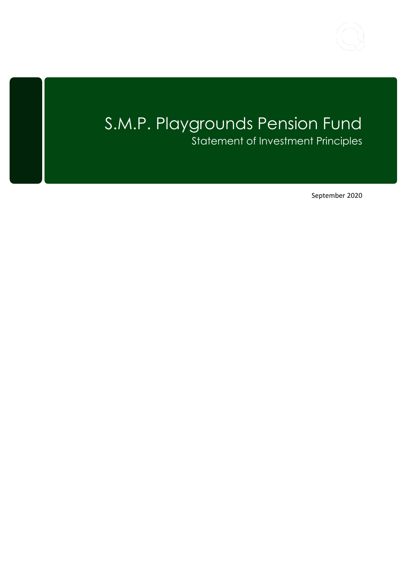

# S.M.P. Playgrounds Pension Fund Statement of Investment Principles

September 2020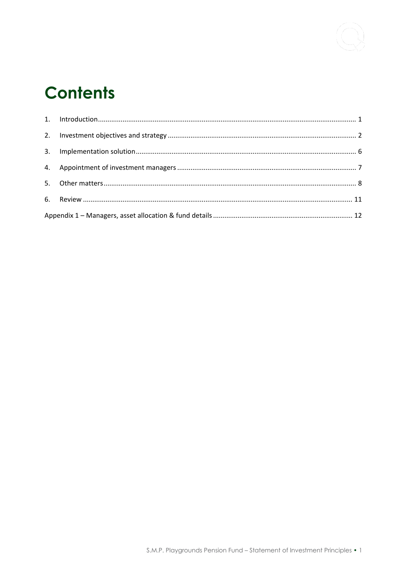

# **Contents**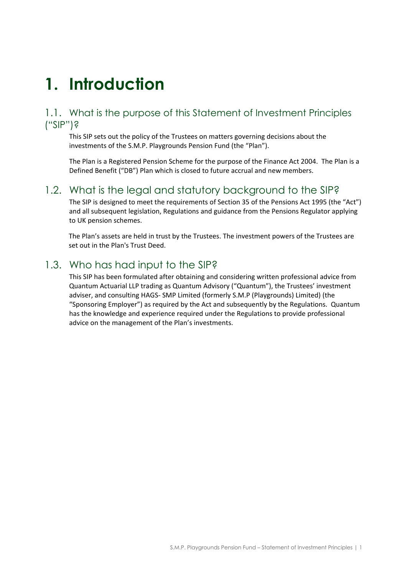# <span id="page-2-0"></span>**1. Introduction**

### 1.1. What is the purpose of this Statement of Investment Principles ("SIP")?

This SIP sets out the policy of the Trustees on matters governing decisions about the investments of the S.M.P. Playgrounds Pension Fund (the "Plan").

The Plan is a Registered Pension Scheme for the purpose of the Finance Act 2004. The Plan is a Defined Benefit ("DB") Plan which is closed to future accrual and new members.

### 1.2. What is the legal and statutory background to the SIP?

The SIP is designed to meet the requirements of Section 35 of the Pensions Act 1995 (the "Act") and all subsequent legislation, Regulations and guidance from the Pensions Regulator applying to UK pension schemes.

The Plan's assets are held in trust by the Trustees. The investment powers of the Trustees are set out in the Plan's Trust Deed.

### 1.3. Who has had input to the SIP?

This SIP has been formulated after obtaining and considering written professional advice from Quantum Actuarial LLP trading as Quantum Advisory ("Quantum"), the Trustees' investment adviser, and consulting HAGS- SMP Limited (formerly S.M.P (Playgrounds) Limited) (the "Sponsoring Employer") as required by the Act and subsequently by the Regulations. Quantum has the knowledge and experience required under the Regulations to provide professional advice on the management of the Plan's investments.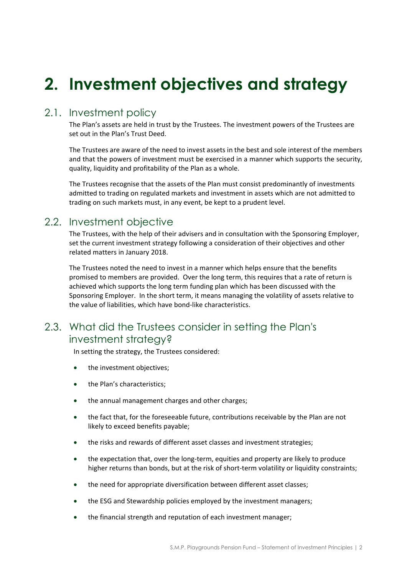# <span id="page-3-0"></span>**2. Investment objectives and strategy**

## 2.1. Investment policy

The Plan's assets are held in trust by the Trustees. The investment powers of the Trustees are set out in the Plan's Trust Deed.

The Trustees are aware of the need to invest assets in the best and sole interest of the members and that the powers of investment must be exercised in a manner which supports the security, quality, liquidity and profitability of the Plan as a whole.

The Trustees recognise that the assets of the Plan must consist predominantly of investments admitted to trading on regulated markets and investment in assets which are not admitted to trading on such markets must, in any event, be kept to a prudent level.

## 2.2. Investment objective

The Trustees, with the help of their advisers and in consultation with the Sponsoring Employer, set the current investment strategy following a consideration of their objectives and other related matters in January 2018.

The Trustees noted the need to invest in a manner which helps ensure that the benefits promised to members are provided. Over the long term, this requires that a rate of return is achieved which supports the long term funding plan which has been discussed with the Sponsoring Employer. In the short term, it means managing the volatility of assets relative to the value of liabilities, which have bond-like characteristics.

## 2.3. What did the Trustees consider in setting the Plan's investment strategy?

In setting the strategy, the Trustees considered:

- the investment objectives;
- the Plan's characteristics;
- the annual management charges and other charges;
- the fact that, for the foreseeable future, contributions receivable by the Plan are not likely to exceed benefits payable;
- the risks and rewards of different asset classes and investment strategies;
- the expectation that, over the long-term, equities and property are likely to produce higher returns than bonds, but at the risk of short-term volatility or liquidity constraints;
- the need for appropriate diversification between different asset classes;
- the ESG and Stewardship policies employed by the investment managers;
- the financial strength and reputation of each investment manager;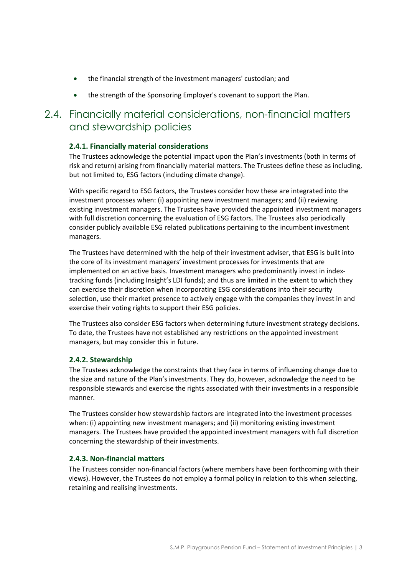- the financial strength of the investment managers' custodian; and
- the strength of the Sponsoring Employer's covenant to support the Plan.

### 2.4. Financially material considerations, non-financial matters and stewardship policies

#### **2.4.1. Financially material considerations**

The Trustees acknowledge the potential impact upon the Plan's investments (both in terms of risk and return) arising from financially material matters. The Trustees define these as including, but not limited to, ESG factors (including climate change).

With specific regard to ESG factors, the Trustees consider how these are integrated into the investment processes when: (i) appointing new investment managers; and (ii) reviewing existing investment managers. The Trustees have provided the appointed investment managers with full discretion concerning the evaluation of ESG factors. The Trustees also periodically consider publicly available ESG related publications pertaining to the incumbent investment managers.

The Trustees have determined with the help of their investment adviser, that ESG is built into the core of its investment managers' investment processes for investments that are implemented on an active basis. Investment managers who predominantly invest in indextracking funds (including Insight's LDI funds); and thus are limited in the extent to which they can exercise their discretion when incorporating ESG considerations into their security selection, use their market presence to actively engage with the companies they invest in and exercise their voting rights to support their ESG policies.

The Trustees also consider ESG factors when determining future investment strategy decisions. To date, the Trustees have not established any restrictions on the appointed investment managers, but may consider this in future.

#### **2.4.2. Stewardship**

The Trustees acknowledge the constraints that they face in terms of influencing change due to the size and nature of the Plan's investments. They do, however, acknowledge the need to be responsible stewards and exercise the rights associated with their investments in a responsible manner.

The Trustees consider how stewardship factors are integrated into the investment processes when: (i) appointing new investment managers; and (ii) monitoring existing investment managers. The Trustees have provided the appointed investment managers with full discretion concerning the stewardship of their investments.

#### **2.4.3. Non-financial matters**

The Trustees consider non-financial factors (where members have been forthcoming with their views). However, the Trustees do not employ a formal policy in relation to this when selecting, retaining and realising investments.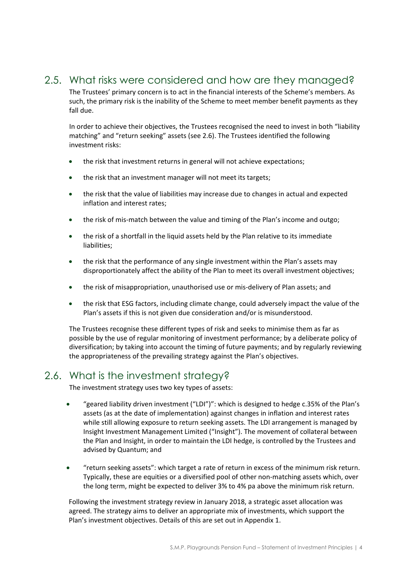# 2.5. What risks were considered and how are they managed?

The Trustees' primary concern is to act in the financial interests of the Scheme's members. As such, the primary risk is the inability of the Scheme to meet member benefit payments as they fall due.

In order to achieve their objectives, the Trustees recognised the need to invest in both "liability matching" and "return seeking" assets (see 2.6). The Trustees identified the following investment risks:

- the risk that investment returns in general will not achieve expectations;
- the risk that an investment manager will not meet its targets;
- the risk that the value of liabilities may increase due to changes in actual and expected inflation and interest rates;
- the risk of mis-match between the value and timing of the Plan's income and outgo;
- the risk of a shortfall in the liquid assets held by the Plan relative to its immediate liabilities;
- the risk that the performance of any single investment within the Plan's assets may disproportionately affect the ability of the Plan to meet its overall investment objectives;
- the risk of misappropriation, unauthorised use or mis-delivery of Plan assets; and
- the risk that ESG factors, including climate change, could adversely impact the value of the Plan's assets if this is not given due consideration and/or is misunderstood.

The Trustees recognise these different types of risk and seeks to minimise them as far as possible by the use of regular monitoring of investment performance; by a deliberate policy of diversification; by taking into account the timing of future payments; and by regularly reviewing the appropriateness of the prevailing strategy against the Plan's objectives.

## 2.6. What is the investment strategy?

The investment strategy uses two key types of assets:

- "geared liability driven investment ("LDI")": which is designed to hedge c.35% of the Plan's assets (as at the date of implementation) against changes in inflation and interest rates while still allowing exposure to return seeking assets. The LDI arrangement is managed by Insight Investment Management Limited ("Insight"). The movement of collateral between the Plan and Insight, in order to maintain the LDI hedge, is controlled by the Trustees and advised by Quantum; and
- "return seeking assets": which target a rate of return in excess of the minimum risk return. Typically, these are equities or a diversified pool of other non-matching assets which, over the long term, might be expected to deliver 3% to 4% pa above the minimum risk return.

Following the investment strategy review in January 2018, a strategic asset allocation was agreed. The strategy aims to deliver an appropriate mix of investments, which support the Plan's investment objectives. Details of this are set out in Appendix 1.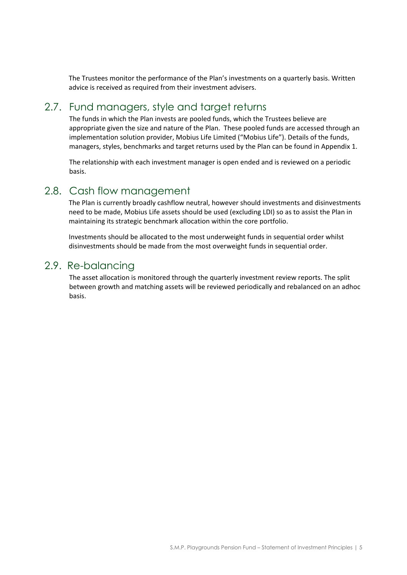The Trustees monitor the performance of the Plan's investments on a quarterly basis. Written advice is received as required from their investment advisers.

### 2.7. Fund managers, style and target returns

The funds in which the Plan invests are pooled funds, which the Trustees believe are appropriate given the size and nature of the Plan. These pooled funds are accessed through an implementation solution provider, Mobius Life Limited ("Mobius Life"). Details of the funds, managers, styles, benchmarks and target returns used by the Plan can be found in Appendix 1.

The relationship with each investment manager is open ended and is reviewed on a periodic basis.

#### 2.8. Cash flow management

The Plan is currently broadly cashflow neutral, however should investments and disinvestments need to be made, Mobius Life assets should be used (excluding LDI) so as to assist the Plan in maintaining its strategic benchmark allocation within the core portfolio.

Investments should be allocated to the most underweight funds in sequential order whilst disinvestments should be made from the most overweight funds in sequential order.

#### 2.9. Re-balancing

The asset allocation is monitored through the quarterly investment review reports. The split between growth and matching assets will be reviewed periodically and rebalanced on an adhoc basis.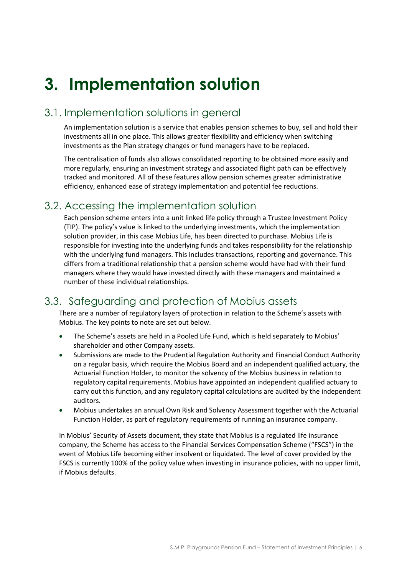# <span id="page-7-0"></span>**3. Implementation solution**

# 3.1. Implementation solutions in general

An implementation solution is a service that enables pension schemes to buy, sell and hold their investments all in one place. This allows greater flexibility and efficiency when switching investments as the Plan strategy changes or fund managers have to be replaced.

The centralisation of funds also allows consolidated reporting to be obtained more easily and more regularly, ensuring an investment strategy and associated flight path can be effectively tracked and monitored. All of these features allow pension schemes greater administrative efficiency, enhanced ease of strategy implementation and potential fee reductions.

# 3.2. Accessing the implementation solution

Each pension scheme enters into a unit linked life policy through a Trustee Investment Policy (TIP). The policy's value is linked to the underlying investments, which the implementation solution provider, in this case Mobius Life, has been directed to purchase. Mobius Life is responsible for investing into the underlying funds and takes responsibility for the relationship with the underlying fund managers. This includes transactions, reporting and governance. This differs from a traditional relationship that a pension scheme would have had with their fund managers where they would have invested directly with these managers and maintained a number of these individual relationships.

# 3.3. Safeguarding and protection of Mobius assets

There are a number of regulatory layers of protection in relation to the Scheme's assets with Mobius. The key points to note are set out below.

- The Scheme's assets are held in a Pooled Life Fund, which is held separately to Mobius' shareholder and other Company assets.
- Submissions are made to the Prudential Regulation Authority and Financial Conduct Authority on a regular basis, which require the Mobius Board and an independent qualified actuary, the Actuarial Function Holder, to monitor the solvency of the Mobius business in relation to regulatory capital requirements. Mobius have appointed an independent qualified actuary to carry out this function, and any regulatory capital calculations are audited by the independent auditors.
- Mobius undertakes an annual Own Risk and Solvency Assessment together with the Actuarial Function Holder, as part of regulatory requirements of running an insurance company.

In Mobius' Security of Assets document, they state that Mobius is a regulated life insurance company, the Scheme has access to the Financial Services Compensation Scheme ("FSCS") in the event of Mobius Life becoming either insolvent or liquidated. The level of cover provided by the FSCS is currently 100% of the policy value when investing in insurance policies, with no upper limit, if Mobius defaults.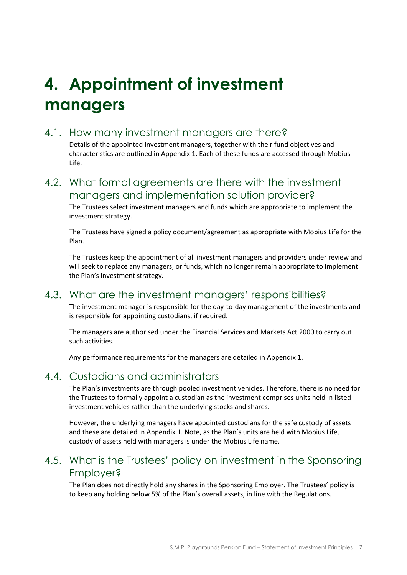# <span id="page-8-0"></span>**4. Appointment of investment managers**

### 4.1. How many investment managers are there?

Details of the appointed investment managers, together with their fund objectives and characteristics are outlined in Appendix 1. Each of these funds are accessed through Mobius Life.

4.2. What formal agreements are there with the investment managers and implementation solution provider?

The Trustees select investment managers and funds which are appropriate to implement the investment strategy.

The Trustees have signed a policy document/agreement as appropriate with Mobius Life for the Plan.

The Trustees keep the appointment of all investment managers and providers under review and will seek to replace any managers, or funds, which no longer remain appropriate to implement the Plan's investment strategy.

## 4.3. What are the investment managers' responsibilities?

The investment manager is responsible for the day-to-day management of the investments and is responsible for appointing custodians, if required.

The managers are authorised under the Financial Services and Markets Act 2000 to carry out such activities.

Any performance requirements for the managers are detailed in Appendix 1.

## 4.4. Custodians and administrators

The Plan's investments are through pooled investment vehicles. Therefore, there is no need for the Trustees to formally appoint a custodian as the investment comprises units held in listed investment vehicles rather than the underlying stocks and shares.

However, the underlying managers have appointed custodians for the safe custody of assets and these are detailed in Appendix 1. Note, as the Plan's units are held with Mobius Life, custody of assets held with managers is under the Mobius Life name.

## 4.5. What is the Trustees' policy on investment in the Sponsoring Employer?

The Plan does not directly hold any shares in the Sponsoring Employer. The Trustees' policy is to keep any holding below 5% of the Plan's overall assets, in line with the Regulations.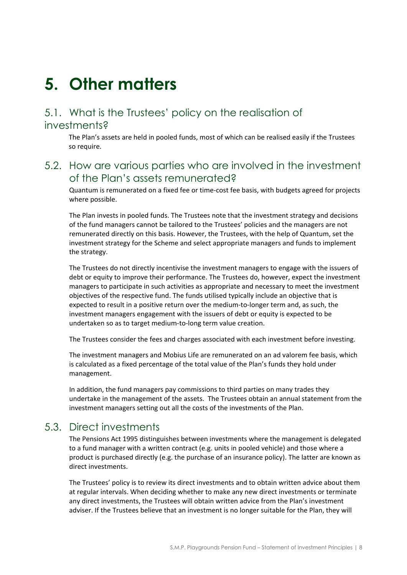# <span id="page-9-0"></span>**5. Other matters**

## 5.1. What is the Trustees' policy on the realisation of investments?

The Plan's assets are held in pooled funds, most of which can be realised easily if the Trustees so require.

### 5.2. How are various parties who are involved in the investment of the Plan's assets remunerated?

Quantum is remunerated on a fixed fee or time-cost fee basis, with budgets agreed for projects where possible.

The Plan invests in pooled funds. The Trustees note that the investment strategy and decisions of the fund managers cannot be tailored to the Trustees' policies and the managers are not remunerated directly on this basis. However, the Trustees, with the help of Quantum, set the investment strategy for the Scheme and select appropriate managers and funds to implement the strategy.

The Trustees do not directly incentivise the investment managers to engage with the issuers of debt or equity to improve their performance. The Trustees do, however, expect the investment managers to participate in such activities as appropriate and necessary to meet the investment objectives of the respective fund. The funds utilised typically include an objective that is expected to result in a positive return over the medium-to-longer term and, as such, the investment managers engagement with the issuers of debt or equity is expected to be undertaken so as to target medium-to-long term value creation.

The Trustees consider the fees and charges associated with each investment before investing.

The investment managers and Mobius Life are remunerated on an ad valorem fee basis, which is calculated as a fixed percentage of the total value of the Plan's funds they hold under management.

In addition, the fund managers pay commissions to third parties on many trades they undertake in the management of the assets. The Trustees obtain an annual statement from the investment managers setting out all the costs of the investments of the Plan.

## 5.3. Direct investments

The Pensions Act 1995 distinguishes between investments where the management is delegated to a fund manager with a written contract (e.g. units in pooled vehicle) and those where a product is purchased directly (e.g. the purchase of an insurance policy). The latter are known as direct investments.

The Trustees' policy is to review its direct investments and to obtain written advice about them at regular intervals. When deciding whether to make any new direct investments or terminate any direct investments, the Trustees will obtain written advice from the Plan's investment adviser. If the Trustees believe that an investment is no longer suitable for the Plan, they will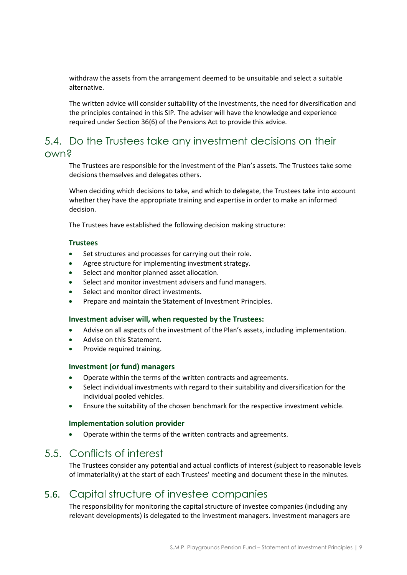withdraw the assets from the arrangement deemed to be unsuitable and select a suitable alternative.

The written advice will consider suitability of the investments, the need for diversification and the principles contained in this SIP. The adviser will have the knowledge and experience required under Section 36(6) of the Pensions Act to provide this advice.

### 5.4. Do the Trustees take any investment decisions on their own?

The Trustees are responsible for the investment of the Plan's assets. The Trustees take some decisions themselves and delegates others.

When deciding which decisions to take, and which to delegate, the Trustees take into account whether they have the appropriate training and expertise in order to make an informed decision.

The Trustees have established the following decision making structure:

#### **Trustees**

- Set structures and processes for carrying out their role.
- Agree structure for implementing investment strategy.
- Select and monitor planned asset allocation.
- Select and monitor investment advisers and fund managers.
- Select and monitor direct investments.
- Prepare and maintain the Statement of Investment Principles.

#### **Investment adviser will, when requested by the Trustees:**

- Advise on all aspects of the investment of the Plan's assets, including implementation.
- Advise on this Statement.
- Provide required training.

#### **Investment (or fund) managers**

- Operate within the terms of the written contracts and agreements.
- Select individual investments with regard to their suitability and diversification for the individual pooled vehicles.
- Ensure the suitability of the chosen benchmark for the respective investment vehicle.

#### **Implementation solution provider**

• Operate within the terms of the written contracts and agreements.

#### 5.5. Conflicts of interest

The Trustees consider any potential and actual conflicts of interest (subject to reasonable levels of immateriality) at the start of each Trustees' meeting and document these in the minutes.

#### 5.6. Capital structure of investee companies

The responsibility for monitoring the capital structure of investee companies (including any relevant developments) is delegated to the investment managers. Investment managers are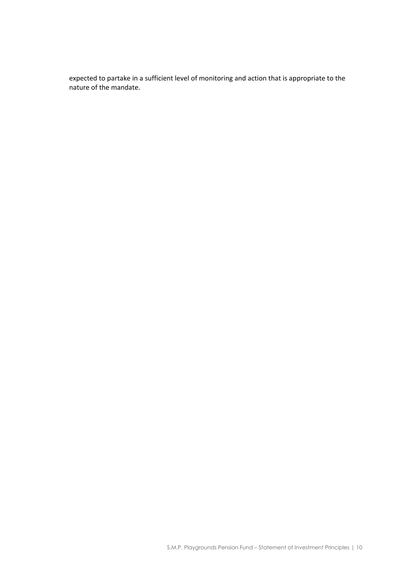expected to partake in a sufficient level of monitoring and action that is appropriate to the nature of the mandate.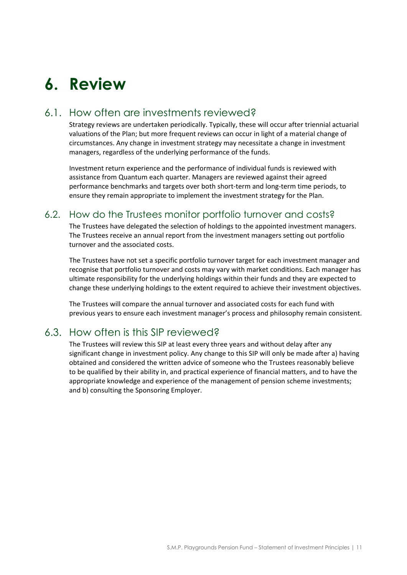# <span id="page-12-0"></span>**6. Review**

## 6.1. How often are investments reviewed?

Strategy reviews are undertaken periodically. Typically, these will occur after triennial actuarial valuations of the Plan; but more frequent reviews can occur in light of a material change of circumstances. Any change in investment strategy may necessitate a change in investment managers, regardless of the underlying performance of the funds.

Investment return experience and the performance of individual funds is reviewed with assistance from Quantum each quarter. Managers are reviewed against their agreed performance benchmarks and targets over both short-term and long-term time periods, to ensure they remain appropriate to implement the investment strategy for the Plan.

#### 6.2. How do the Trustees monitor portfolio turnover and costs?

The Trustees have delegated the selection of holdings to the appointed investment managers. The Trustees receive an annual report from the investment managers setting out portfolio turnover and the associated costs.

The Trustees have not set a specific portfolio turnover target for each investment manager and recognise that portfolio turnover and costs may vary with market conditions. Each manager has ultimate responsibility for the underlying holdings within their funds and they are expected to change these underlying holdings to the extent required to achieve their investment objectives.

The Trustees will compare the annual turnover and associated costs for each fund with previous years to ensure each investment manager's process and philosophy remain consistent.

## 6.3. How often is this SIP reviewed?

The Trustees will review this SIP at least every three years and without delay after any significant change in investment policy. Any change to this SIP will only be made after a) having obtained and considered the written advice of someone who the Trustees reasonably believe to be qualified by their ability in, and practical experience of financial matters, and to have the appropriate knowledge and experience of the management of pension scheme investments; and b) consulting the Sponsoring Employer.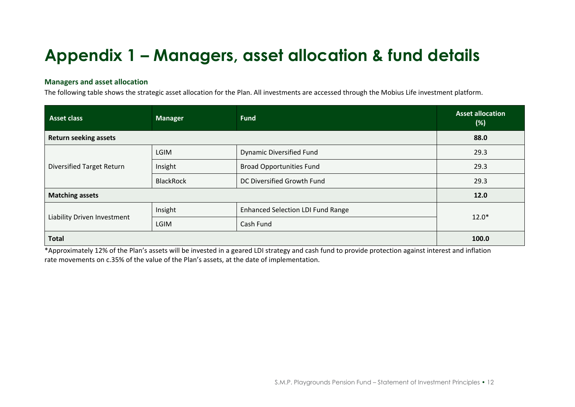# **Appendix 1 – Managers, asset allocation & fund details**

#### **Managers and asset allocation**

The following table shows the strategic asset allocation for the Plan. All investments are accessed through the Mobius Life investment platform.

| <b>Asset class</b>               | <b>Manager</b>   | <b>Fund</b>                              | <b>Asset allocation</b><br>(%) |  |
|----------------------------------|------------------|------------------------------------------|--------------------------------|--|
| <b>Return seeking assets</b>     | 88.0             |                                          |                                |  |
|                                  | <b>LGIM</b>      | <b>Dynamic Diversified Fund</b>          | 29.3                           |  |
| <b>Diversified Target Return</b> | Insight          | <b>Broad Opportunities Fund</b>          | 29.3                           |  |
|                                  | <b>BlackRock</b> | DC Diversified Growth Fund               | 29.3                           |  |
| <b>Matching assets</b>           | 12.0             |                                          |                                |  |
|                                  | Insight          | <b>Enhanced Selection LDI Fund Range</b> | $12.0*$                        |  |
| Liability Driven Investment      | <b>LGIM</b>      | Cash Fund                                |                                |  |
| <b>Total</b>                     | 100.0            |                                          |                                |  |

<span id="page-13-0"></span>\*Approximately 12% of the Plan's assets will be invested in a geared LDI strategy and cash fund to provide protection against interest and inflation rate movements on c.35% of the value of the Plan's assets, at the date of implementation.